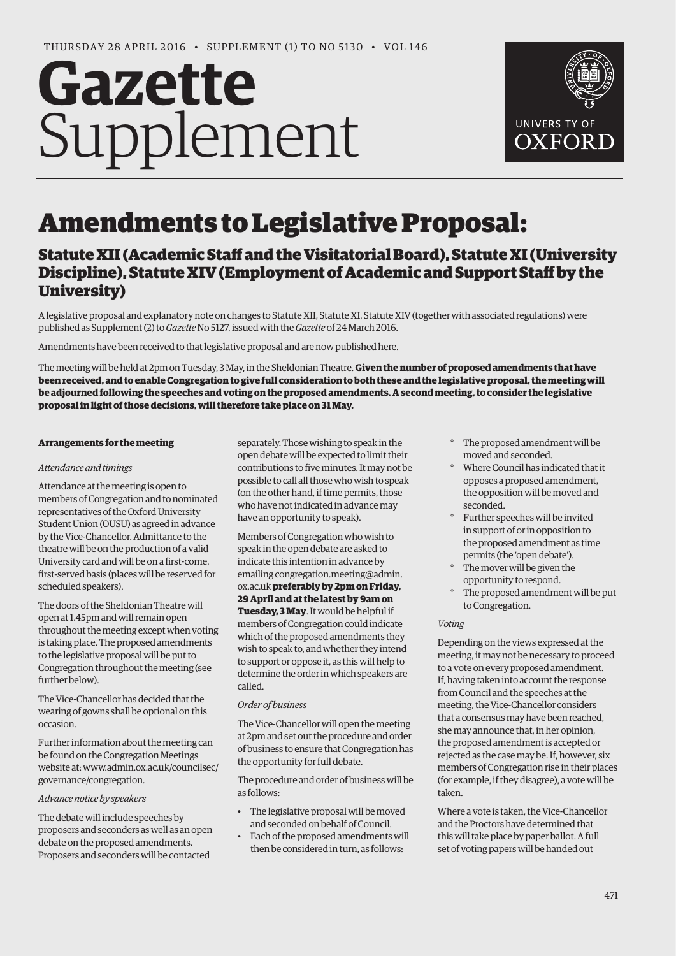# **Gazette** Supplement



## Amendments to Legislative Proposal:

### Statute XII (Academic Staff and the Visitatorial Board), Statute XI (University Discipline), Statute XIV (Employment of Academic and Support Staff by the University)

A legislative proposal and explanatory note on changes to Statute XII, Statute XI, Statute XIV (together with associated regulations) were published as Supplement (2) to *Gazette* [No 5127, issued with the](http://www.ox.ac.uk/media/global/wwwoxacuk/localsites/gazette/documents/supplements2015-16/Voting_on_Legislative_Proposal_(Statute_XII)_-_(2)_to_No_5127.pdf) *Gazette* of 24 March 2016.

Amendments have been received to that legislative proposal and are now published here.

The meeting will be held at 2pm on Tuesday, 3 May, in the Sheldonian Theatre. **Given the number of proposed amendments that have been received, and to enable Congregation to give full consideration to both these and the legislative proposal, the meeting will be adjourned following the speeches and voting on the proposed amendments. A second meeting, to consider the legislative proposal in light of those decisions, will therefore take place on 31 May.**

#### **Arrangements for the meeting**

#### *Attendance and timings*

Attendance at the meeting is open to members of Congregation and to nominated representatives of the Oxford University Student Union (OUSU) as agreed in advance by the Vice-Chancellor. Admittance to the theatre will be on the production of a valid University card and will be on a first-come, first-served basis (places will be reserved for scheduled speakers).

The doors of the Sheldonian Theatre will open at 1.45pm and will remain open throughout the meeting except when voting is taking place. The proposed amendments to the legislative proposal will be put to Congregation throughout the meeting (see further below).

The Vice-Chancellor has decided that the wearing of gowns shall be optional on this occasion.

Further information about the meeting can be found on the Congregation Meetings [website at: www.admin.ox.ac.uk/councilsec/](http://www.admin.ox.ac.uk/councilsec/governance/congregation) governance/congregation.

#### *Advance notice by speakers*

The debate will include speeches by proposers and seconders as well as an open debate on the proposed amendments. Proposers and seconders will be contacted

separately. Those wishing to speak in the open debate will be expected to limit their contributions to five minutes. It may not be possible to call all those who wish to speak (on the other hand, if time permits, those who have not indicated in advance may have an opportunity to speak).

Members of Congregation who wish to speak in the open debate are asked to indicate this intention in advance by [emailing congregation.meeting@admin.](mailto:congregation.meeting@admin.ox.ac.uk) ox.ac.uk **preferably by 2pm on Friday, 29 April and at the latest by 9am on Tuesday, 3 May**. It would be helpful if members of Congregation could indicate which of the proposed amendments they wish to speak to, and whether they intend to support or oppose it, as this will help to determine the order in which speakers are called.

#### *Order of business*

The Vice-Chancellor will open the meeting at 2pm and set out the procedure and order of business to ensure that Congregation has the opportunity for full debate.

The procedure and order of business will be as follows:

- The legislative proposal will be moved and seconded on behalf of Council.
- Each of the proposed amendments will then be considered in turn, as follows:
- The proposed amendment will be moved and seconded.
- ° Where Council has indicated that it opposes a proposed amendment, the opposition will be moved and seconded.
- ° Further speeches will be invited in support of or in opposition to the proposed amendment as time permits (the 'open debate').
- The mover will be given the opportunity to respond.
- ° The proposed amendment will be put to Congregation.

#### *Voting*

Depending on the views expressed at the meeting, it may not be necessary to proceed to a vote on every proposed amendment. If, having taken into account the response from Council and the speeches at the meeting, the Vice-Chancellor considers that a consensus may have been reached, she may announce that, in her opinion, the proposed amendment is accepted or rejected as the case may be. If, however, six members of Congregation rise in their places (for example, if they disagree), a vote will be taken.

Where a vote is taken, the Vice-Chancellor and the Proctors have determined that this will take place by paper ballot. A full set of voting papers will be handed out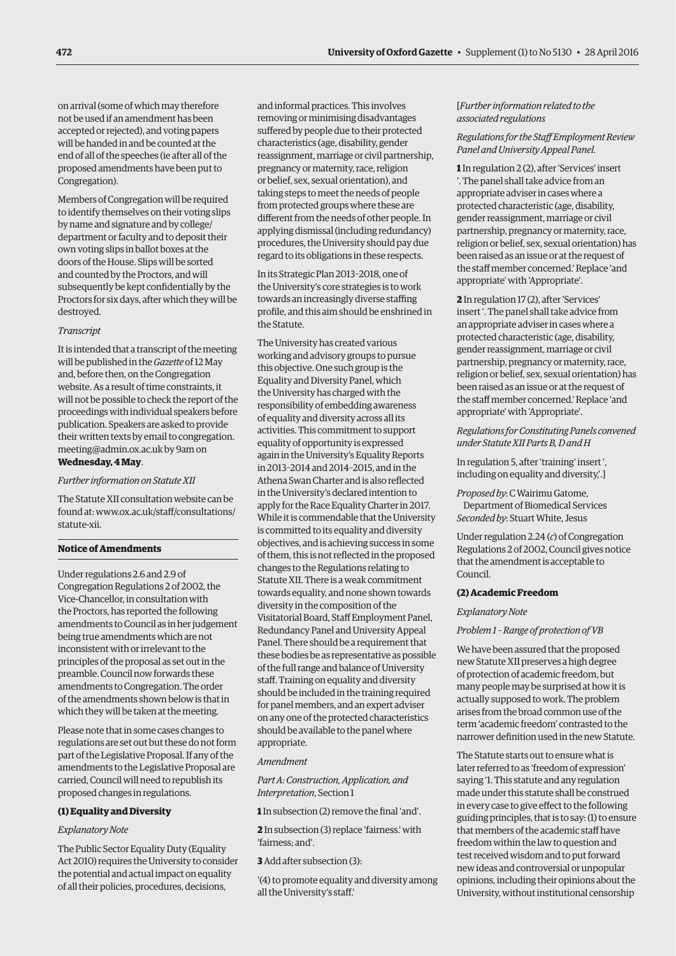on arrival (some of which may therefore not be used if an amendment has been accepted or rejected), and voting papers will be handed in and be counted at the end of all of the speeches (ie after all of the proposed amendments have been put to Congregation).

Members of Congregation will be required to identify themselves on their voting slips by name and signature and by college/ department or faculty and to deposit their own voting slips in ballot boxes at the doors of the House. Slips will be sorted and counted by the Proctors, and will subsequently be kept confidentially by the Proctors for six days, after which they will be destroyed.

#### *Transcript*

It is intended that a transcript of the meeting will be published in the *Gazette* of 12 May and, before then, on the Congregation website. As a result of time constraints, it will not be possible to check the report of the proceedings with individual speakers before publication. Speakers are asked to provide [their written texts by email to congregation.](mailto:congregation.meeting@admin.ox.ac.uk) meeting@admin.ox.ac.uk by 9am on **Wednesday, 4 May**.

#### *Further information on Statute XII*

The Statute XII consultation website can be [found at: www.ox.ac.uk/staff/consultations/](http://www.ox.ac.uk/staff/consultations/statute-xii) statute-xii.

#### **Notice of Amendments**

Under regulations 2.6 and 2.9 of Congregation Regulations 2 of 2002, the Vice-Chancellor, in consultation with the Proctors, has reported the following amendments to Council as in her judgement being true amendments which are not inconsistent with or irrelevant to the principles of the proposal as set out in the preamble. Council now forwards these amendments to Congregation. The order of the amendments shown below is that in which they will be taken at the meeting.

Please note that in some cases changes to regulations are set out but these do not form part of the Legislative Proposal. If any of the amendments to the Legislative Proposal are carried, Council will need to republish its proposed changes in regulations.

#### **(1) Equality and Diversity**

#### *Explanatory Note*

The Public Sector Equality Duty (Equality Act 2010) requires the University to consider the potential and actual impact on equality of all their policies, procedures, decisions,

and informal practices. This involves removing or minimising disadvantages suffered by people due to their protected characteristics (age, disability, gender reassignment, marriage or civil partnership, pregnancy or maternity, race, religion or belief, sex, sexual orientation), and taking steps to meet the needs of people from protected groups where these are different from the needs of other people. In applying dismissal (including redundancy) procedures, the University should pay due regard to its obligations in these respects.

In its Strategic Plan 2013–2018, one of the University's core strategies is to work towards an increasingly diverse staffing profile, and this aim should be enshrined in the Statute.

The University has created various working and advisory groups to pursue this objective. One such group is the Equality and Diversity Panel, which the University has charged with the responsibility of embedding awareness of equality and diversity across all its activities. This commitment to support equality of opportunity is expressed again in the University's Equality Reports in 2013–2014 and 2014–2015, and in the Athena Swan Charter and is also reflected in the University's declared intention to apply for the Race Equality Charter in 2017. While it is commendable that the University is committed to its equality and diversity objectives, and is achieving success in some of them, this is not reflected in the proposed changes to the Regulations relating to Statute XII. There is a weak commitment towards equality, and none shown towards diversity in the composition of the Visitatorial Board, Staff Employment Panel, Redundancy Panel and University Appeal Panel. There should be a requirement that these bodies be as representative as possible of the full range and balance of University staff. Training on equality and diversity should be included in the training required for panel members, and an expert adviser on any one of the protected characteristics should be available to the panel where appropriate.

#### *Amendment*

*Part A: Construction, Application, and Interpretation*, Section 1

**1** In subsection (2) remove the final 'and'.

**2** In subsection (3) replace 'fairness.' with 'fairness; and'.

#### **3** Add after subsection (3):

'(4) to promote equality and diversity among all the University's staff.'

#### [*Further information related to the associated regulations*

#### *Regulations for the Staff Employment Review Panel and University Appeal Panel.*

**1** In regulation 2 (2), after 'Services' insert '. The panel shall take advice from an appropriate adviser in cases where a protected characteristic (age, disability, gender reassignment, marriage or civil partnership, pregnancy or maternity, race, religion or belief, sex, sexual orientation) has been raised as an issue or at the request of the staff member concerned.' Replace 'and appropriate' with 'Appropriate'.

**2** In regulation 17 (2), after 'Services' insert '. The panel shall take advice from an appropriate adviser in cases where a protected characteristic (age, disability, gender reassignment, marriage or civil partnership, pregnancy or maternity, race, religion or belief, sex, sexual orientation) has been raised as an issue or at the request of the staff member concerned.' Replace 'and appropriate' with 'Appropriate'.

#### *Regulations for Constituting Panels convened under Statute XII Parts B, D and H*

In regulation 5, after 'training' insert ', including on equality and diversity,'.]

*Proposed by*: C Wairimu Gatome,

Department of Biomedical Services *Seconded by*: Stuart White, Jesus

Under regulation 2.24 (*c*) of Congregation Regulations 2 of 2002, Council gives notice that the amendment is acceptable to Council.

#### **(2) Academic Freedom**

*Explanatory Note*

#### *Problem 1 – Range of protection of VB*

We have been assured that the proposed new Statute XII preserves a high degree of protection of academic freedom, but many people may be surprised at how it is actually supposed to work. The problem arises from the broad common use of the term 'academic freedom' contrasted to the narrower definition used in the new Statute.

The Statute starts out to ensure what is later referred to as 'freedom of expression' saying '1. This statute and any regulation made under this statute shall be construed in every case to give effect to the following guiding principles, that is to say: (1) to ensure that members of the academic staff have freedom within the law to question and test received wisdom and to put forward new ideas and controversial or unpopular opinions, including their opinions about the University, without institutional censorship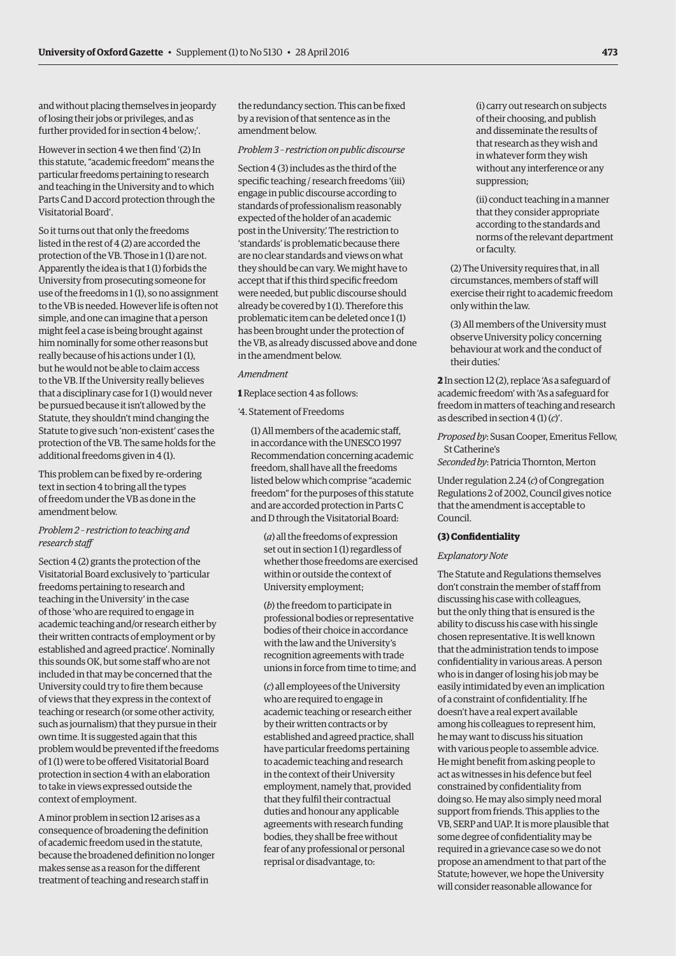and without placing themselves in jeopardy of losing their jobs or privileges, and as further provided for in section 4 below;'.

However in section 4 we then find '(2) In this statute, "academic freedom" means the particular freedoms pertaining to research and teaching in the University and to which Parts C and D accord protection through the Visitatorial Board'.

So it turns out that only the freedoms listed in the rest of 4 (2) are accorded the protection of the VB. Those in 1 (1) are not. Apparently the idea is that 1 (1) forbids the University from prosecuting someone for use of the freedoms in 1 (1), so no assignment to the VB is needed. However life is often not simple, and one can imagine that a person might feel a case is being brought against him nominally for some other reasons but really because of his actions under 1 (1), but he would not be able to claim access to the VB. If the University really believes that a disciplinary case for 1 (1) would never be pursued because it isn't allowed by the Statute, they shouldn't mind changing the Statute to give such 'non-existent' cases the protection of the VB. The same holds for the additional freedoms given in 4 (1).

This problem can be fixed by re-ordering text in section 4 to bring all the types of freedom under the VB as done in the amendment below.

#### *Problem 2 – restriction to teaching and research staff*

Section 4 (2) grants the protection of the Visitatorial Board exclusively to 'particular freedoms pertaining to research and teaching in the University' in the case of those 'who are required to engage in academic teaching and/or research either by their written contracts of employment or by established and agreed practice'. Nominally this sounds OK, but some staff who are not included in that may be concerned that the University could try to fire them because of views that they express in the context of teaching or research (or some other activity, such as journalism) that they pursue in their own time. It is suggested again that this problem would be prevented if the freedoms of 1 (1) were to be offered Visitatorial Board protection in section 4 with an elaboration to take in views expressed outside the context of employment.

A minor problem in section 12 arises as a consequence of broadening the definition of academic freedom used in the statute, because the broadened definition no longer makes sense as a reason for the different treatment of teaching and research staff in

the redundancy section. This can be fixed by a revision of that sentence as in the amendment below.

#### *Problem 3 – restriction on public discourse*

Section 4 (3) includes as the third of the specific teaching / research freedoms '(iii) engage in public discourse according to standards of professionalism reasonably expected of the holder of an academic post in the University.' The restriction to 'standards' is problematic because there are no clear standards and views on what they should be can vary. We might have to accept that if this third specific freedom were needed, but public discourse should already be covered by 1 (1). Therefore this problematic item can be deleted once 1 (1) has been brought under the protection of the VB, as already discussed above and done in the amendment below.

#### *Amendment*

**1** Replace section 4 as follows:

'4. Statement of Freedoms

(1) All members of the academic staff, in accordance with the UNESCO 1997 Recommendation concerning academic freedom, shall have all the freedoms listed below which comprise "academic freedom" for the purposes of this statute and are accorded protection in Parts C and D through the Visitatorial Board:

(*a*) all the freedoms of expression set out in section 1 (1) regardless of whether those freedoms are exercised within or outside the context of University employment;

(*b*) the freedom to participate in professional bodies or representative bodies of their choice in accordance with the law and the University's recognition agreements with trade unions in force from time to time; and

(*c*) all employees of the University who are required to engage in academic teaching or research either by their written contracts or by established and agreed practice, shall have particular freedoms pertaining to academic teaching and research in the context of their University employment, namely that, provided that they fulfil their contractual duties and honour any applicable agreements with research funding bodies, they shall be free without fear of any professional or personal reprisal or disadvantage, to:

(i) carry out research on subjects of their choosing, and publish and disseminate the results of that research as they wish and in whatever form they wish without any interference or any suppression;

(ii) conduct teaching in a manner that they consider appropriate according to the standards and norms of the relevant department or faculty.

(2) The University requires that, in all circumstances, members of staff will exercise their right to academic freedom only within the law.

(3) All members of the University must observe University policy concerning behaviour at work and the conduct of their duties.'

**2** In section 12 (2), replace 'As a safeguard of academic freedom' with 'As a safeguard for freedom in matters of teaching and research as described in section 4 (1) (*c*)'.

*Proposed by*: Susan Cooper, Emeritus Fellow, St Catherine's

*Seconded by*: Patricia Thornton, Merton

Under regulation 2.24 (*c*) of Congregation Regulations 2 of 2002, Council gives notice that the amendment is acceptable to Council.

#### **(3) Confidentiality**

#### *Explanatory Note*

The Statute and Regulations themselves don't constrain the member of staff from discussing his case with colleagues, but the only thing that is ensured is the ability to discuss his case with his single chosen representative. It is well known that the administration tends to impose confidentiality in various areas. A person who is in danger of losing his job may be easily intimidated by even an implication of a constraint of confidentiality. If he doesn't have a real expert available among his colleagues to represent him, he may want to discuss his situation with various people to assemble advice. He might benefit from asking people to act as witnesses in his defence but feel constrained by confidentiality from doing so. He may also simply need moral support from friends. This applies to the VB, SERP and UAP. It is more plausible that some degree of confidentiality may be required in a grievance case so we do not propose an amendment to that part of the Statute; however, we hope the University will consider reasonable allowance for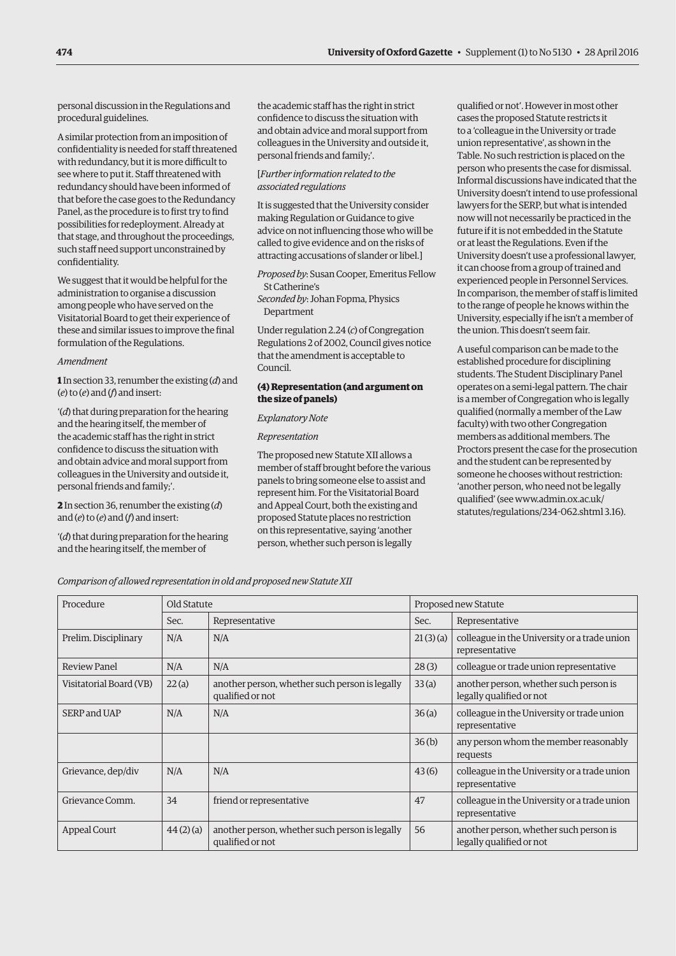personal discussion in the Regulations and procedural guidelines.

A similar protection from an imposition of confidentiality is needed for staff threatened with redundancy, but it is more difficult to see where to put it. Staff threatened with redundancy should have been informed of that before the case goes to the Redundancy Panel, as the procedure is to first try to find possibilities for redeployment. Already at that stage, and throughout the proceedings, such staff need support unconstrained by confidentiality.

We suggest that it would be helpful for the administration to organise a discussion among people who have served on the Visitatorial Board to get their experience of these and similar issues to improve the final formulation of the Regulations.

#### *Amendment*

**1** In section 33, renumber the existing (*d*) and (*e*) to (*e*) and (*f*) and insert:

'(*d*) that during preparation for the hearing and the hearing itself, the member of the academic staff has the right in strict confidence to discuss the situation with and obtain advice and moral support from colleagues in the University and outside it, personal friends and family;'.

#### **2** In section 36, renumber the existing (*d*) and (*e*) to (*e*) and (*f*) and insert:

'(*d*) that during preparation for the hearing and the hearing itself, the member of

the academic staff has the right in strict confidence to discuss the situation with and obtain advice and moral support from colleagues in the University and outside it, personal friends and family;'.

#### [*Further information related to the associated regulations*

It is suggested that the University consider making Regulation or Guidance to give advice on not influencing those who will be called to give evidence and on the risks of attracting accusations of slander or libel.]

*Proposed by*: Susan Cooper, Emeritus Fellow St Catherine's

*Seconded by*: Johan Fopma, Physics Department

Under regulation 2.24 (*c*) of Congregation Regulations 2 of 2002, Council gives notice that the amendment is acceptable to Council.

#### **(4) Representation (and argument on the size of panels)**

#### *Explanatory Note*

#### *Representation*

The proposed new Statute XII allows a member of staff brought before the various panels to bring someone else to assist and represent him. For the Visitatorial Board and Appeal Court, both the existing and proposed Statute places no restriction on this representative, saying 'another person, whether such person is legally

qualified or not'. However in most other cases the proposed Statute restricts it to a 'colleague in the University or trade union representative', as shown in the Table. No such restriction is placed on the person who presents the case for dismissal. Informal discussions have indicated that the University doesn't intend to use professional lawyers for the SERP, but what is intended now will not necessarily be practiced in the future if it is not embedded in the Statute or at least the Regulations. Even if the University doesn't use a professional lawyer, it can choose from a group of trained and experienced people in Personnel Services. In comparison, the member of staff is limited to the range of people he knows within the University, especially if he isn't a member of the union. This doesn't seem fair.

A useful comparison can be made to the established procedure for disciplining students. The Student Disciplinary Panel operates on a semi-legal pattern. The chair is a member of Congregation who is legally qualified (normally a member of the Law faculty) with two other Congregation members as additional members. The Proctors present the case for the prosecution and the student can be represented by someone he chooses without restriction: 'another person, who need not be legally qualified' (see www.admin.ox.ac.uk/ statutes/regulations/234-062.shtml 3.16).

*Comparison of allowed representation in old and proposed new Statute XII*

| Procedure               | Old Statute |                                                                    | Proposed new Statute |                                                                    |
|-------------------------|-------------|--------------------------------------------------------------------|----------------------|--------------------------------------------------------------------|
|                         | Sec.        | Representative                                                     | Sec.                 | Representative                                                     |
| Prelim. Disciplinary    | N/A         | N/A                                                                | 21(3)(a)             | colleague in the University or a trade union<br>representative     |
| Review Panel            | N/A         | N/A                                                                | 28(3)                | colleague or trade union representative                            |
| Visitatorial Board (VB) | 22(a)       | another person, whether such person is legally<br>qualified or not | 33(a)                | another person, whether such person is<br>legally qualified or not |
| SERP and UAP            | N/A         | N/A                                                                | 36(a)                | colleague in the University or trade union<br>representative       |
|                         |             |                                                                    | 36(b)                | any person whom the member reasonably<br>requests                  |
| Grievance, dep/div      | N/A         | N/A                                                                | 43(6)                | colleague in the University or a trade union<br>representative     |
| Grievance Comm.         | 34          | friend or representative                                           | 47                   | colleague in the University or a trade union<br>representative     |
| Appeal Court            | 44(2)(a)    | another person, whether such person is legally<br>qualified or not | 56                   | another person, whether such person is<br>legally qualified or not |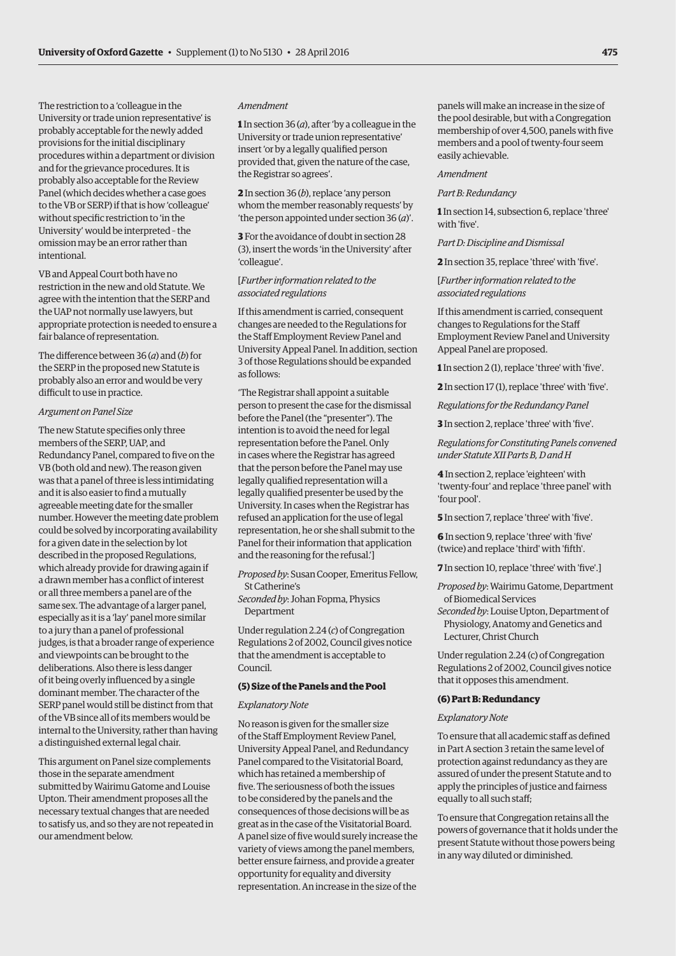The restriction to a 'colleague in the University or trade union representative' is probably acceptable for the newly added provisions for the initial disciplinary procedures within a department or division and for the grievance procedures. It is probably also acceptable for the Review Panel (which decides whether a case goes to the VB or SERP) if that is how 'colleague' without specific restriction to 'in the University' would be interpreted – the omission may be an error rather than intentional.

VB and Appeal Court both have no restriction in the new and old Statute. We agree with the intention that the SERP and the UAP not normally use lawyers, but appropriate protection is needed to ensure a fair balance of representation.

The difference between 36 (*a*) and (*b*) for the SERP in the proposed new Statute is probably also an error and would be very difficult to use in practice.

#### *Argument on Panel Size*

The new Statute specifies only three members of the SERP, UAP, and Redundancy Panel, compared to five on the VB (both old and new). The reason given was that a panel of three is less intimidating and it is also easier to find a mutually agreeable meeting date for the smaller number. However the meeting date problem could be solved by incorporating availability for a given date in the selection by lot described in the proposed Regulations, which already provide for drawing again if a drawn member has a conflict of interest or all three members a panel are of the same sex. The advantage of a larger panel, especially as it is a 'lay' panel more similar to a jury than a panel of professional judges, is that a broader range of experience and viewpoints can be brought to the deliberations. Also there is less danger of it being overly influenced by a single dominant member. The character of the SERP panel would still be distinct from that of the VB since all of its members would be internal to the University, rather than having a distinguished external legal chair.

This argument on Panel size complements those in the separate amendment submitted by Wairimu Gatome and Louise Upton. Their amendment proposes all the necessary textual changes that are needed to satisfy us, and so they are not repeated in our amendment below.

#### *Amendment*

**1** In section 36 (*a*), after 'by a colleague in the University or trade union representative' insert 'or by a legally qualified person provided that, given the nature of the case, the Registrar so agrees'.

**2** In section 36 (*b*), replace 'any person whom the member reasonably requests' by 'the person appointed under section 36 (*a*)'.

**3** For the avoidance of doubt in section 28 (3), insert the words 'in the University' after 'colleague'.

#### [*Further information related to the associated regulations*

If this amendment is carried, consequent changes are needed to the Regulations for the Staff Employment Review Panel and University Appeal Panel. In addition, section 3 of those Regulations should be expanded as follows:

'The Registrar shall appoint a suitable person to present the case for the dismissal before the Panel (the "presenter"). The intention is to avoid the need for legal representation before the Panel. Only in cases where the Registrar has agreed that the person before the Panel may use legally qualified representation will a legally qualified presenter be used by the University. In cases when the Registrar has refused an application for the use of legal representation, he or she shall submit to the Panel for their information that application and the reasoning for the refusal.']

*Proposed by*: Susan Cooper, Emeritus Fellow, St Catherine's

*Seconded by*: Johan Fopma, Physics Department

Under regulation 2.24 (*c*) of Congregation Regulations 2 of 2002, Council gives notice that the amendment is acceptable to Council.

#### **(5) Size of the Panels and the Pool**

#### *Explanatory Note*

No reason is given for the smaller size of the Staff Employment Review Panel, University Appeal Panel, and Redundancy Panel compared to the Visitatorial Board, which has retained a membership of five. The seriousness of both the issues to be considered by the panels and the consequences of those decisions will be as great as in the case of the Visitatorial Board. A panel size of five would surely increase the variety of views among the panel members, better ensure fairness, and provide a greater opportunity for equality and diversity representation. An increase in the size of the

panels will make an increase in the size of the pool desirable, but with a Congregation membership of over 4,500, panels with five members and a pool of twenty-four seem easily achievable.

#### *Amendment*

#### *Part B: Redundancy*

**1** In section 14, subsection 6, replace 'three' with 'five'.

*Part D: Discipline and Dismissal*

**2** In section 35, replace 'three' with 'five'.

#### [*Further information related to the associated regulations*

If this amendment is carried, consequent changes to Regulations for the Staff Employment Review Panel and University Appeal Panel are proposed.

**1** In section 2 (1), replace 'three' with 'five'.

**2** In section 17 (1), replace 'three' with 'five'.

*Regulations for the Redundancy Panel*

**3** In section 2, replace 'three' with 'five'.

*Regulations for Constituting Panels convened under Statute XII Parts B, D and H*

**4** In section 2, replace 'eighteen' with 'twenty-four' and replace 'three panel' with 'four pool'.

**5** In section 7, replace 'three' with 'five'.

**6** In section 9, replace 'three' with 'five' (twice) and replace 'third' with 'fifth'.

**7** In section 10, replace 'three' with 'five'.]

*Proposed by*: Wairimu Gatome, Department of Biomedical Services

*Seconded by*: Louise Upton, Department of Physiology, Anatomy and Genetics and Lecturer, Christ Church

Under regulation 2.24 (c) of Congregation Regulations 2 of 2002, Council gives notice that it opposes this amendment.

#### **(6) Part B: Redundancy**

#### *Explanatory Note*

To ensure that all academic staff as defined in Part A section 3 retain the same level of protection against redundancy as they are assured of under the present Statute and to apply the principles of justice and fairness equally to all such staff;

To ensure that Congregation retains all the powers of governance that it holds under the present Statute without those powers being in any way diluted or diminished.